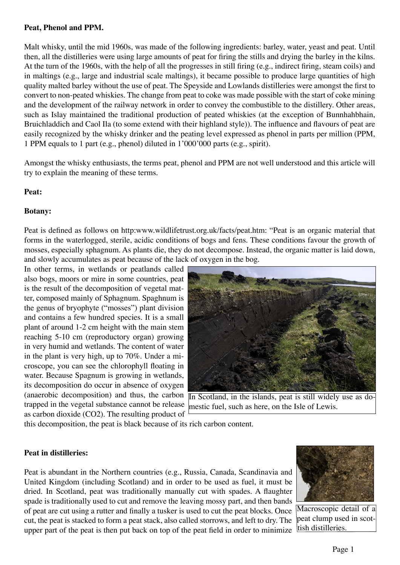#### **Peat, Phenol and PPM.**

Malt whisky, until the mid 1960s, was made of the following ingredients: barley, water, yeast and peat. Until then, all the distilleries were using large amounts of peat for firing the stills and drying the barley in the kilns. At the turn of the 1960s, with the help of all the progresses in still firing (e.g., indirect firing, steam coils) and in maltings (e.g., large and industrial scale maltings), it became possible to produce large quantities of high quality malted barley without the use of peat. The Speyside and Lowlands distilleries were amongst the first to convert to non-peated whiskies. The change from peat to coke was made possible with the start of coke mining and the development of the railway network in order to convey the combustible to the distillery. Other areas, such as Islay maintained the traditional production of peated whiskies (at the exception of Bunnhahbhain, Bruichladdich and Caol Ila (to some extend with their highland style)). The influence and flavours of peat are easily recognized by the whisky drinker and the peating level expressed as phenol in parts per million (PPM, 1 PPM equals to 1 part (e.g., phenol) diluted in 1'000'000 parts (e.g., spirit).

Amongst the whisky enthusiasts, the terms peat, phenol and PPM are not well understood and this article will try to explain the meaning of these terms.

### **Peat:**

#### **Botany:**

Peat is defined as follows on http:www.wildlifetrust.org.uk/facts/peat.htm: "Peat is an organic material that forms in the waterlogged, sterile, acidic conditions of bogs and fens. These conditions favour the growth of mosses, especially sphagnum. As plants die, they do not decompose. Instead, the organic matter is laid down, and slowly accumulates as peat because of the lack of oxygen in the bog.

In other terms, in wetlands or peatlands called also bogs, moors or mire in some countries, peat is the result of the decomposition of vegetal matter, composed mainly of Sphagnum. Spaghnum is the genus of bryophyte ("mosses") plant division and contains a few hundred species. It is a small plant of around 1-2 cm height with the main stem reaching 5-10 cm (reproductory organ) growing in very humid and wetlands. The content of water in the plant is very high, up to 70%. Under a microscope, you can see the chlorophyll floating in water. Because Spagnum is growing in wetlands, its decomposition do occur in absence of oxygen (anaerobic decomposition) and thus, the carbon trapped in the vegetal substance cannot be release as carbon dioxide (CO2). The resulting product of



In Scotland, in the islands, peat is still widely use as domestic fuel, such as here, on the Isle of Lewis.

this decomposition, the peat is black because of its rich carbon content.

### **Peat in distilleries:**

Peat is abundant in the Northern countries (e.g., Russia, Canada, Scandinavia and United Kingdom (including Scotland) and in order to be used as fuel, it must be dried. In Scotland, peat was traditionally manually cut with spades. A flaughter spade is traditionally used to cut and remove the leaving mossy part, and then bands of peat are cut using a rutter and finally a tusker is used to cut the peat blocks. Once cut, the peat is stacked to form a peat stack, also called storrows, and left to dry. The upper part of the peat is then put back on top of the peat field in order to minimize



Macroscopic detail of a peat clump used in scottish distilleries.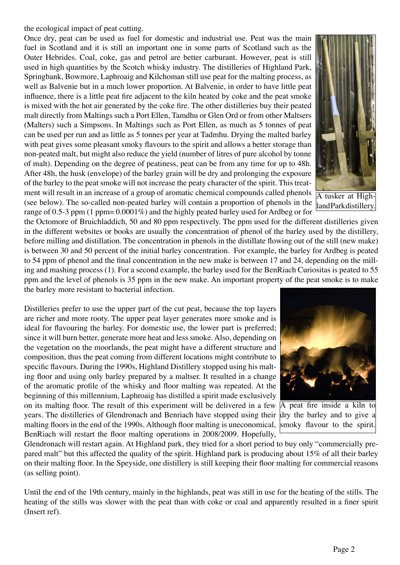the ecological impact of peat cutting.

Once dry, peat can be used as fuel for domestic and industrial use. Peat was the main fuel in Scotland and it is still an important one in some parts of Scotland such as the Outer Hebrides. Coal, coke, gas and petrol are better carburant. However, peat is still used in high quantities by the Scotch whisky industry. The distilleries of Highland Park, Springbank, Bowmore, Laphroaig and Kilchoman still use peat for the malting process, as well as Balvenie but in a much lower proportion. At Balvenie, in order to have little peat influence, there is a little peat fire adjacent to the kiln heated by coke and the peat smoke is mixed with the hot air generated by the coke fire. The other distilleries buy their peated malt directly from Maltings such a Port Ellen, Tamdhu or Glen Ord or from other Maltsers (Malters) such a Simpsons. In Maltings such as Port Ellen, as much as 5 tonnes of peat can be used per run and as little as 5 tonnes per year at Tadmhu. Drying the malted barley with peat gives some pleasant smoky flavours to the spirit and allows a better storage than non-peated malt, but might also reduce the yield (number of litres of pure alcohol by tonne of malt). Depending on the degree of peatiness, peat can be from any time for up to 48h. After 48h, the husk (envelope) of the barley grain will be dry and prolonging the exposure of the barley to the peat smoke will not increase the peaty character of the spirit. This treatment will result in an increase of a group of aromatic chemical compounds called phenols (see below). The so-called non-peated barley will contain a proportion of phenols in the range of 0.5-3 ppm (1 ppm= 0.0001%) and the highly peated barley used for Ardbeg or for

A tusker at Highland Park distillery.

the Octomore of Bruichladdich, 50 and 80 ppm respectively. The ppm used for the different distilleries given in the different websites or books are usually the concentration of phenol of the barley used by the distillery, before milling and distillation. The concentration in phenols in the distillate flowing out of the still (new make) is between 30 and 50 percent of the initial barley concentration. For example, the barley for Ardbeg is peated to 54 ppm of phenol and the final concentration in the new make is between 17 and 24, depending on the milling and mashing process (1). For a second example, the barley used for the BenRiach Curiositas is peated to 55 ppm and the level of phenols is 35 ppm in the new make. An important property of the peat smoke is to make the barley more resistant to bacterial infection.

Distilleries prefer to use the upper part of the cut peat, because the top layers are richer and more rooty. The upper peat layer generates more smoke and is ideal for flavouring the barley. For domestic use, the lower part is preferred; since it will burn better, generate more heat and less smoke. Also, depending on the vegetation on the moorlands, the peat might have a different structure and composition, thus the peat coming from different locations might contribute to specific flavours. During the 1990s, Highland Distillery stopped using his malting floor and using only barley prepared by a maltser. It resulted in a change of the aromatic profile of the whisky and floor malting was repeated. At the beginning of this millennium, Laphroaig has distilled a spirit made exclusively on its malting floor. The result of this experiment will be delivered in a few  $\overline{A}$  peat fire inside a kiln to years. The distilleries of Glendronach and Benriach have stopped using their dry the barley and to give a malting floors in the end of the 1990s. Although floor malting is uneconomical, smoky flavour to the spirit.BenRiach will restart the floor malting operations in 2008/2009. Hopefully,



Glendronach will restart again. At Highland park, they tried for a short period to buy only "commercially prepared malt" but this affected the quality of the spirit. Highland park is producing about 15% of all their barley on their malting floor. In the Speyside, one distillery is still keeping their floor malting for commercial reasons (as selling point).

Until the end of the 19th century, mainly in the highlands, peat was still in use for the heating of the stills. The heating of the stills was slower with the peat than with coke or coal and apparently resulted in a finer spirit (Insert ref).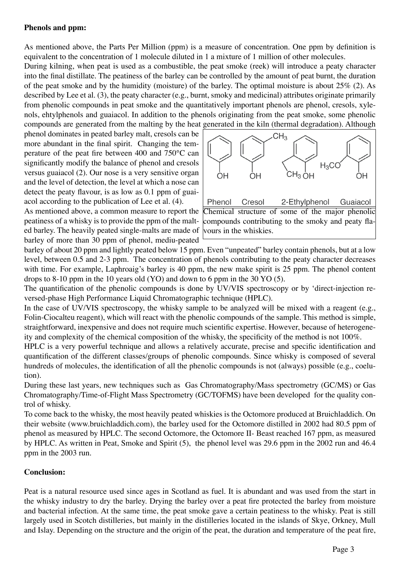## **Phenols and ppm:**

As mentioned above, the Parts Per Million (ppm) is a measure of concentration. One ppm by definition is equivalent to the concentration of 1 molecule diluted in 1 a mixture of 1 million of other molecules.

During kilning, when peat is used as a combustible, the peat smoke (reek) will introduce a peaty character into the final distillate. The peatiness of the barley can be controlled by the amount of peat burnt, the duration of the peat smoke and by the humidity (moisture) of the barley. The optimal moisture is about 25% (2). As described by Lee et al. (3), the peaty character (e.g., burnt, smoky and medicinal) attributes originate primarily from phenolic compounds in peat smoke and the quantitatively important phenols are phenol, cresols, xylenols, ehtylphenols and guaiacol. In addition to the phenols originating from the peat smoke, some phenolic compounds are generated from the malting by the heat generated in the kiln (thermal degradation). Although

phenol dominates in peated barley malt, cresols can be more abundant in the final spirit. Changing the temperature of the peat fire between 400 and 750°C can significantly modify the balance of phenol and cresols versus guaiacol (2). Our nose is a very sensitive organ and the level of detection, the level at which a nose can detect the peaty flavour, is as low as 0.1 ppm of guaiacol according to the publication of Lee et al. (4).

As mentioned above, a common measure to report the peatiness of a whisky is to provide the ppm of the malted barley. The heavily peated single-malts are made of barley of more than 30 ppm of phenol, mediu-peated



barley of about 20 ppm and lightly peated below 15 ppm. Even "unpeated" barley contain phenols, but at a low level, between 0.5 and 2-3 ppm. The concentration of phenols contributing to the peaty character decreases with time. For example, Laphroaig's barley is 40 ppm, the new make spirit is 25 ppm. The phenol content drops to 8-10 ppm in the 10 years old (YO) and down to 6 ppm in the 30 YO (5).

The quantification of the phenolic compounds is done by UV/VIS spectroscopy or by 'direct-injection reversed-phase High Performance Liquid Chromatographic technique (HPLC).

In the case of UV/VIS spectroscopy, the whisky sample to be analyzed will be mixed with a reagent (e.g., Folin-Ciocalteu reagent), which will react with the phenolic compounds of the sample. This method is simple, straightforward, inexpensive and does not require much scientific expertise. However, because of heterogeneity and complexity of the chemical composition of the whisky, the specificity of the method is not 100%.

HPLC is a very powerful technique and allows a relatively accurate, precise and specific identification and quantification of the different classes/groups of phenolic compounds. Since whisky is composed of several hundreds of molecules, the identification of all the phenolic compounds is not (always) possible (e.g., coelution).

During these last years, new techniques such as Gas Chromatography/Mass spectrometry (GC/MS) or Gas Chromatography/Time-of-Flight Mass Spectrometry (GC/TOFMS) have been developed for the quality control of whisky.

To come back to the whisky, the most heavily peated whiskies is the Octomore produced at Bruichladdich. On their website (www.bruichladdich.com), the barley used for the Octomore distilled in 2002 had 80.5 ppm of phenol as measured by HPLC. The second Octomore, the Octomore II- Beast reached 167 ppm, as measured by HPLC. As written in Peat, Smoke and Spirit (5), the phenol level was 29.6 ppm in the 2002 run and 46.4 ppm in the 2003 run.

## **Conclusion:**

Peat is a natural resource used since ages in Scotland as fuel. It is abundant and was used from the start in the whisky industry to dry the barley. Drying the barley over a peat fire protected the barley from moisture and bacterial infection. At the same time, the peat smoke gave a certain peatiness to the whisky. Peat is still largely used in Scotch distilleries, but mainly in the distilleries located in the islands of Skye, Orkney, Mull and Islay. Depending on the structure and the origin of the peat, the duration and temperature of the peat fire,